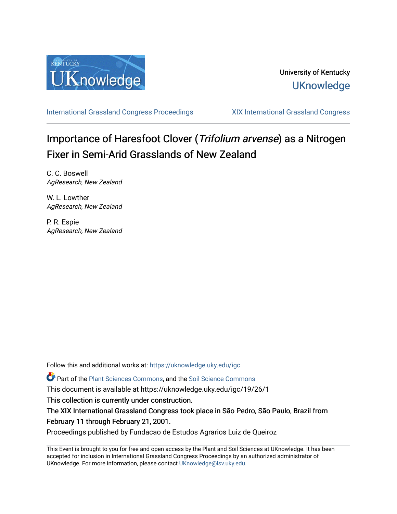

[International Grassland Congress Proceedings](https://uknowledge.uky.edu/igc) [XIX International Grassland Congress](https://uknowledge.uky.edu/igc/19) 

# Importance of Haresfoot Clover (Trifolium arvense) as a Nitrogen Fixer in Semi-Arid Grasslands of New Zealand

C. C. Boswell AgResearch, New Zealand

W. L. Lowther AgResearch, New Zealand

P. R. Espie AgResearch, New Zealand

Follow this and additional works at: [https://uknowledge.uky.edu/igc](https://uknowledge.uky.edu/igc?utm_source=uknowledge.uky.edu%2Figc%2F19%2F26%2F1&utm_medium=PDF&utm_campaign=PDFCoverPages) 

Part of the [Plant Sciences Commons](http://network.bepress.com/hgg/discipline/102?utm_source=uknowledge.uky.edu%2Figc%2F19%2F26%2F1&utm_medium=PDF&utm_campaign=PDFCoverPages), and the [Soil Science Commons](http://network.bepress.com/hgg/discipline/163?utm_source=uknowledge.uky.edu%2Figc%2F19%2F26%2F1&utm_medium=PDF&utm_campaign=PDFCoverPages) 

This document is available at https://uknowledge.uky.edu/igc/19/26/1

This collection is currently under construction.

The XIX International Grassland Congress took place in São Pedro, São Paulo, Brazil from February 11 through February 21, 2001.

Proceedings published by Fundacao de Estudos Agrarios Luiz de Queiroz

This Event is brought to you for free and open access by the Plant and Soil Sciences at UKnowledge. It has been accepted for inclusion in International Grassland Congress Proceedings by an authorized administrator of UKnowledge. For more information, please contact [UKnowledge@lsv.uky.edu](mailto:UKnowledge@lsv.uky.edu).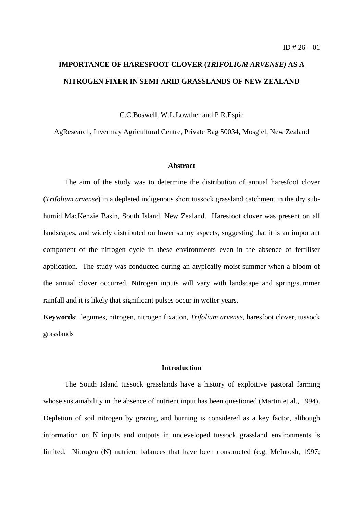## **IMPORTANCE OF HARESFOOT CLOVER (***TRIFOLIUM ARVENSE)* **AS A NITROGEN FIXER IN SEMI-ARID GRASSLANDS OF NEW ZEALAND**

C.C.Boswell, W.L.Lowther and P.R.Espie

AgResearch, Invermay Agricultural Centre, Private Bag 50034, Mosgiel, New Zealand

### **Abstract**

The aim of the study was to determine the distribution of annual haresfoot clover (*Trifolium arvense*) in a depleted indigenous short tussock grassland catchment in the dry subhumid MacKenzie Basin, South Island, New Zealand. Haresfoot clover was present on all landscapes, and widely distributed on lower sunny aspects, suggesting that it is an important component of the nitrogen cycle in these environments even in the absence of fertiliser application. The study was conducted during an atypically moist summer when a bloom of the annual clover occurred. Nitrogen inputs will vary with landscape and spring/summer rainfall and it is likely that significant pulses occur in wetter years.

**Keywords**: legumes, nitrogen, nitrogen fixation, *Trifolium arvense*, haresfoot clover*,* tussock grasslands

### **Introduction**

The South Island tussock grasslands have a history of exploitive pastoral farming whose sustainability in the absence of nutrient input has been questioned (Martin et al., 1994). Depletion of soil nitrogen by grazing and burning is considered as a key factor, although information on N inputs and outputs in undeveloped tussock grassland environments is limited. Nitrogen (N) nutrient balances that have been constructed (e.g. McIntosh, 1997;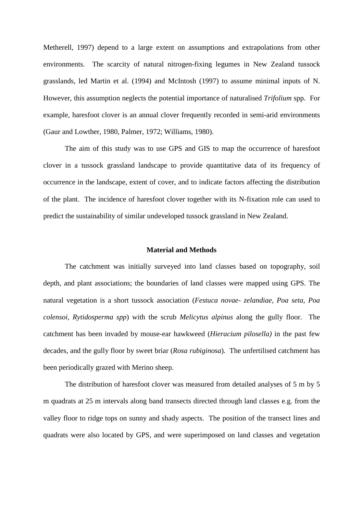Metherell, 1997) depend to a large extent on assumptions and extrapolations from other environments. The scarcity of natural nitrogen-fixing legumes in New Zealand tussock grasslands, led Martin et al. (1994) and McIntosh (1997) to assume minimal inputs of N. However, this assumption neglects the potential importance of naturalised *Trifolium* spp. For example, haresfoot clover is an annual clover frequently recorded in semi-arid environments (Gaur and Lowther, 1980, Palmer, 1972; Williams, 1980).

The aim of this study was to use GPS and GIS to map the occurrence of haresfoot clover in a tussock grassland landscape to provide quantitative data of its frequency of occurrence in the landscape, extent of cover, and to indicate factors affecting the distribution of the plant. The incidence of haresfoot clover together with its N-fixation role can used to predict the sustainability of similar undeveloped tussock grassland in New Zealand.

#### **Material and Methods**

The catchment was initially surveyed into land classes based on topography, soil depth, and plant associations; the boundaries of land classes were mapped using GPS. The natural vegetation is a short tussock association (*Festuca novae- zelandiae, Poa seta, Poa colensoi, Rytidosperma spp*) with the scrub *Melicytus alpinus* along the gully floor. The catchment has been invaded by mouse-ear hawkweed (*Hieracium pilosella)* in the past few decades, and the gully floor by sweet briar (*Rosa rubiginosa*)*.* The unfertilised catchment has been periodically grazed with Merino sheep.

The distribution of haresfoot clover was measured from detailed analyses of 5 m by 5 m quadrats at 25 m intervals along band transects directed through land classes e.g. from the valley floor to ridge tops on sunny and shady aspects. The position of the transect lines and quadrats were also located by GPS, and were superimposed on land classes and vegetation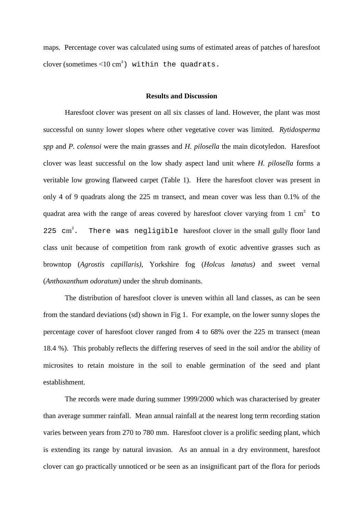maps. Percentage cover was calculated using sums of estimated areas of patches of haresfoot clover (sometimes <10 cm<sup>2</sup>) within the quadrats.

#### **Results and Discussion**

Haresfoot clover was present on all six classes of land. However, the plant was most successful on sunny lower slopes where other vegetative cover was limited. *Rytidosperma spp* and *P. colensoi* were the main grasses and *H. pilosella* the main dicotyledon. Haresfoot clover was least successful on the low shady aspect land unit where *H. pilosella* forms a veritable low growing flatweed carpet (Table 1). Here the haresfoot clover was present in only 4 of 9 quadrats along the 225 m transect, and mean cover was less than 0.1% of the quadrat area with the range of areas covered by haresfoot clover varying from 1 cm<sup>2</sup> to 225  $cm^2$ . There was negligible haresfoot clover in the small gully floor land class unit because of competition from rank growth of exotic adventive grasses such as browntop (*Agrostis capillaris)*, Yorkshire fog (*Holcus lanatus)* and sweet vernal (*Anthoxanthum odoratum)* under the shrub dominants.

The distribution of haresfoot clover is uneven within all land classes, as can be seen from the standard deviations (sd) shown in Fig 1. For example, on the lower sunny slopes the percentage cover of haresfoot clover ranged from 4 to 68% over the 225 m transect (mean 18.4 %). This probably reflects the differing reserves of seed in the soil and/or the ability of microsites to retain moisture in the soil to enable germination of the seed and plant establishment.

The records were made during summer 1999/2000 which was characterised by greater than average summer rainfall. Mean annual rainfall at the nearest long term recording station varies between years from 270 to 780 mm. Haresfoot clover is a prolific seeding plant, which is extending its range by natural invasion. As an annual in a dry environment, haresfoot clover can go practically unnoticed or be seen as an insignificant part of the flora for periods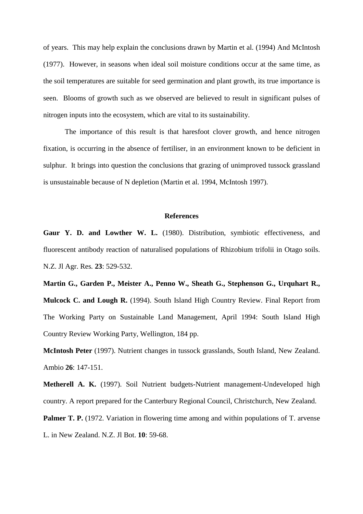of years. This may help explain the conclusions drawn by Martin et al. (1994) And McIntosh (1977). However, in seasons when ideal soil moisture conditions occur at the same time, as the soil temperatures are suitable for seed germination and plant growth, its true importance is seen. Blooms of growth such as we observed are believed to result in significant pulses of nitrogen inputs into the ecosystem, which are vital to its sustainability.

The importance of this result is that haresfoot clover growth, and hence nitrogen fixation, is occurring in the absence of fertiliser, in an environment known to be deficient in sulphur. It brings into question the conclusions that grazing of unimproved tussock grassland is unsustainable because of N depletion (Martin et al. 1994, McIntosh 1997).

#### **References**

**Gaur Y. D. and Lowther W. L.** (1980). Distribution, symbiotic effectiveness, and fluorescent antibody reaction of naturalised populations of Rhizobium trifolii in Otago soils. N.Z. Jl Agr. Res*.* **23**: 529-532.

**Martin G., Garden P., Meister A., Penno W., Sheath G., Stephenson G., Urquhart R., Mulcock C. and Lough R.** (1994). South Island High Country Review. Final Report from The Working Party on Sustainable Land Management, April 1994: South Island High Country Review Working Party, Wellington, 184 pp.

**McIntosh Peter** (1997). Nutrient changes in tussock grasslands, South Island, New Zealand. Ambio **26**: 147-151.

**Metherell A. K.** (1997). Soil Nutrient budgets-Nutrient management-Undeveloped high country. A report prepared for the Canterbury Regional Council, Christchurch, New Zealand.

**Palmer T. P.** (1972. Variation in flowering time among and within populations of T. arvense L. in New Zealand. N.Z. Jl Bot. **10**: 59-68.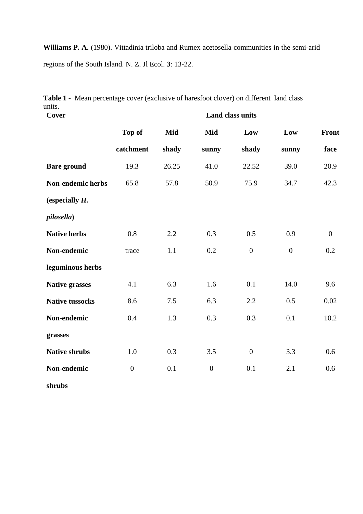**Williams P. A.** (1980). Vittadinia triloba and Rumex acetosella communities in the semi-arid regions of the South Island. N. Z. Jl Ecol. **3**: 13-22.

| Cover                    | <b>Land class units</b> |       |                |                  |                  |                   |
|--------------------------|-------------------------|-------|----------------|------------------|------------------|-------------------|
|                          | Top of                  | Mid   | Mid            | Low              | Low              | Front             |
|                          | catchment               | shady | sunny          | shady            | sunny            | face              |
| <b>Bare</b> ground       | 19.3                    | 26.25 | 41.0           | 22.52            | 39.0             | $\overline{20.9}$ |
| <b>Non-endemic herbs</b> | 65.8                    | 57.8  | 50.9           | 75.9             | 34.7             | 42.3              |
| (especially $H$ .        |                         |       |                |                  |                  |                   |
| pilosella)               |                         |       |                |                  |                  |                   |
| <b>Native herbs</b>      | 0.8                     | 2.2   | 0.3            | 0.5              | 0.9              | $\boldsymbol{0}$  |
| Non-endemic              | trace                   | 1.1   | 0.2            | $\boldsymbol{0}$ | $\boldsymbol{0}$ | 0.2               |
| leguminous herbs         |                         |       |                |                  |                  |                   |
| <b>Native grasses</b>    | 4.1                     | 6.3   | 1.6            | 0.1              | 14.0             | 9.6               |
| <b>Native tussocks</b>   | 8.6                     | 7.5   | 6.3            | 2.2              | 0.5              | 0.02              |
| Non-endemic              | 0.4                     | 1.3   | 0.3            | 0.3              | 0.1              | 10.2              |
| grasses                  |                         |       |                |                  |                  |                   |
| <b>Native shrubs</b>     | 1.0                     | 0.3   | 3.5            | $\overline{0}$   | 3.3              | 0.6               |
| Non-endemic              | $\overline{0}$          | 0.1   | $\overline{0}$ | 0.1              | 2.1              | 0.6               |
| shrubs                   |                         |       |                |                  |                  |                   |

**Table 1 -** Mean percentage cover (exclusive of haresfoot clover) on different land class units.